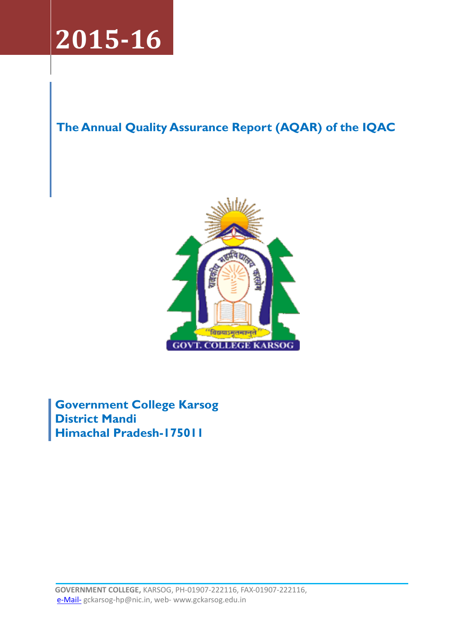

# The Annual Quality Assurance Report (AQAR) of the IQAC



Government College Karsog District Mandi Himachal Pradesh-175011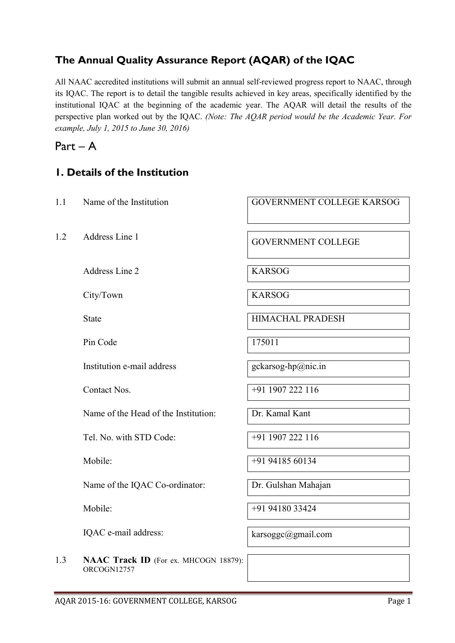## The Annual Quality Assurance Report (AQAR) of the IQAC

All NAAC accredited institutions will submit an annual self-reviewed progress report to NAAC, through its IQAC. The report is to detail the tangible results achieved in key areas, specifically identified by the institutional IQAC at the beginning of the academic year. The AQAR will detail the results of the perspective plan worked out by the IQAC. *(Note: The AQAR period would be the Academic Year. For example, July 1, 2015 to June 30, 2016)*

# Part – A

## 1. Details of the Institution

| 1.1 | Name of the Institution                              | GOVERNMENT COLLEGE KARSOG |
|-----|------------------------------------------------------|---------------------------|
| 1.2 | Address Line 1                                       | <b>GOVERNMENT COLLEGE</b> |
|     | Address Line 2                                       | <b>KARSOG</b>             |
|     | City/Town                                            | <b>KARSOG</b>             |
|     | <b>State</b>                                         | <b>HIMACHAL PRADESH</b>   |
|     | Pin Code                                             | 175011                    |
|     | Institution e-mail address                           | gckarsog-hp@nic.in        |
|     | Contact Nos.                                         | +91 1907 222 116          |
|     | Name of the Head of the Institution:                 | Dr. Kamal Kant            |
|     | Tel. No. with STD Code:                              | +91 1907 222 116          |
|     | Mobile:                                              | +91 94185 60134           |
|     | Name of the IQAC Co-ordinator:                       | Dr. Gulshan Mahajan       |
|     | Mobile:                                              | +91 94180 33424           |
|     | IQAC e-mail address:                                 | karsoggc@gmail.com        |
| 1.3 | NAAC Track ID (For ex. MHCOGN 18879):<br>ORCOGN12757 |                           |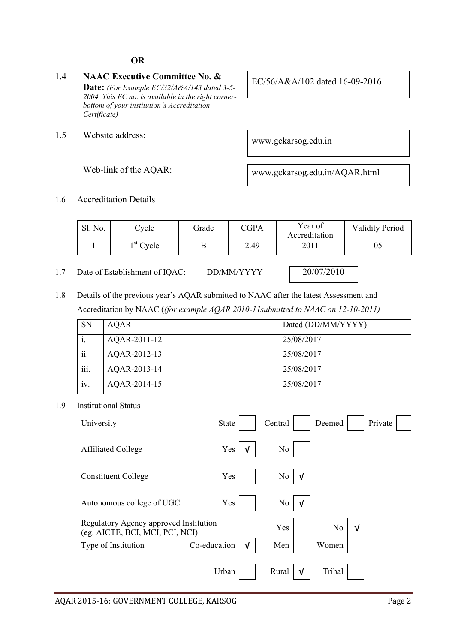#### OR

- 1.4 NAAC Executive Committee No. & Date: *(For Example EC/32/A&A/143 dated 3-5- 2004. This EC no. is available in the right cornerbottom of your institution's Accreditation Certificate)*
- 1.5 Website address: www.gckarsog.edu.in

EC/56/A&A/102 dated 16-09-2016

Web-link of the AQAR: www.gckarsog.edu.in/AQAR.html

#### 1.6 Accreditation Details

| Sl. No. | `vcle                         | Grade | <b>CGPA</b> | Year of<br>Accreditation | <b>Validity Period</b> |
|---------|-------------------------------|-------|-------------|--------------------------|------------------------|
|         | $\lambda$ <sup>st</sup> Cycle |       | 2.49        | 2011                     | 05                     |

- 1.7 Date of Establishment of IOAC: DD/MM/YYYY 20/07/2010
- 1.8 Details of the previous year's AQAR submitted to NAAC after the latest Assessment and Accreditation by NAAC (*(for example AQAR 2010-11submitted to NAAC on 12-10-2011)*

| <b>SN</b> | AQAR         | Dated (DD/MM/YYYY) |
|-----------|--------------|--------------------|
|           | AQAR-2011-12 | 25/08/2017         |
| ii.       | AQAR-2012-13 | 25/08/2017         |
| iii.      | AQAR-2013-14 | 25/08/2017         |
| iv.       | AQAR-2014-15 | 25/08/2017         |

1.9 Institutional Status

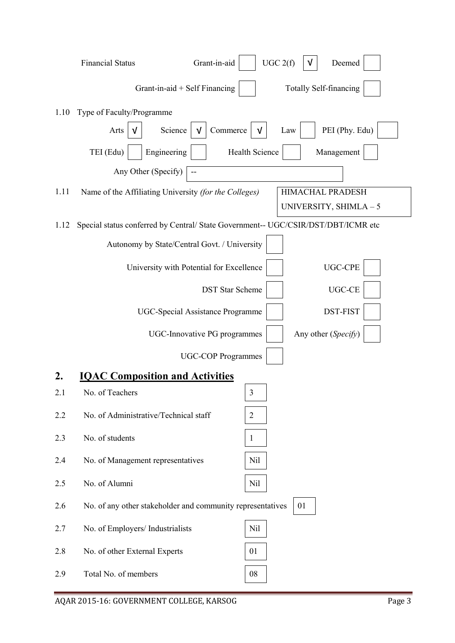|           | Grant-in-aid<br><b>Financial Status</b>                    | UGC 2(f)<br>Deemed                                                                                        |
|-----------|------------------------------------------------------------|-----------------------------------------------------------------------------------------------------------|
|           | Grant-in-aid + Self Financing                              | <b>Totally Self-financing</b>                                                                             |
| 1.10      | Type of Faculty/Programme                                  |                                                                                                           |
|           | Science<br>Arts<br>V                                       | PEI (Phy. Edu)<br>Commerce<br>V<br>Law                                                                    |
|           | TEI (Edu)<br>Engineering                                   | Health Science<br>Management                                                                              |
|           | Any Other (Specify)<br>--                                  |                                                                                                           |
| 1.11      | Name of the Affiliating University (for the Colleges)      | HIMACHAL PRADESH                                                                                          |
| 1.12      |                                                            | UNIVERSITY, SHIMLA-5<br>Special status conferred by Central/ State Government-- UGC/CSIR/DST/DBT/ICMR etc |
|           | Autonomy by State/Central Govt. / University               |                                                                                                           |
|           | University with Potential for Excellence                   | <b>UGC-CPE</b>                                                                                            |
|           |                                                            | UGC-CE<br><b>DST</b> Star Scheme                                                                          |
|           |                                                            |                                                                                                           |
|           | <b>UGC-Special Assistance Programme</b>                    | DST-FIST                                                                                                  |
|           | UGC-Innovative PG programmes                               | Any other (Specify)                                                                                       |
|           | <b>UGC-COP Programmes</b>                                  |                                                                                                           |
| 2.<br>2.1 | <b>IQAC Composition and Activities</b><br>No. of Teachers  | 3                                                                                                         |
| 2.2       | No. of Administrative/Technical staff                      | $\overline{2}$                                                                                            |
|           |                                                            |                                                                                                           |
| 2.3       | No. of students                                            | 1                                                                                                         |
| 2.4       | No. of Management representatives                          | <b>Nil</b>                                                                                                |
| 2.5       | No. of Alumni                                              | N <sub>il</sub>                                                                                           |
| 2.6       | No. of any other stakeholder and community representatives | 01                                                                                                        |
| 2.7       | No. of Employers/ Industrialists                           | Nil                                                                                                       |
| 2.8       | No. of other External Experts                              | 01                                                                                                        |
| 2.9       | Total No. of members                                       | 08                                                                                                        |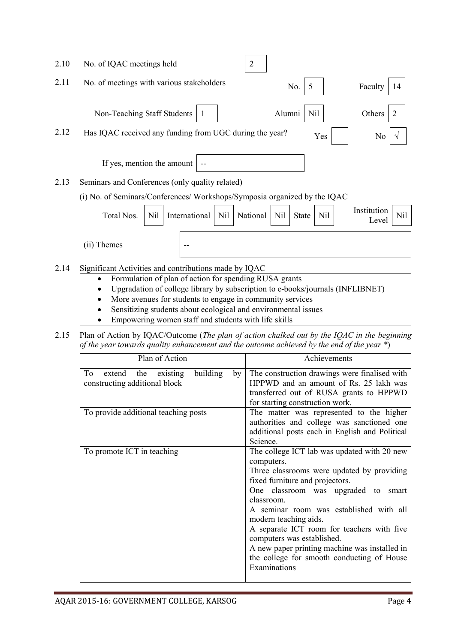| 2.10 | No. of IQAC meetings held<br>2                                                                                                             |
|------|--------------------------------------------------------------------------------------------------------------------------------------------|
| 2.11 | No. of meetings with various stakeholders<br>No.<br>Faculty<br>5<br>14                                                                     |
|      | Non-Teaching Staff Students<br>Alumni<br>Nil<br>Others<br>2                                                                                |
| 2.12 | Has IQAC received any funding from UGC during the year?<br>Yes<br>No                                                                       |
|      | If yes, mention the amount                                                                                                                 |
| 2.13 | Seminars and Conferences (only quality related)                                                                                            |
|      | (i) No. of Seminars/Conferences/Workshops/Symposia organized by the IQAC                                                                   |
|      | Institution<br>Total Nos.<br>International<br>N <sub>il</sub><br>Nil<br>N <sub>il</sub><br>Nil<br>National<br>Nil<br><b>State</b><br>Level |
|      | (ii) Themes                                                                                                                                |
| 2.14 | Significant Activities and contributions made by IQAC                                                                                      |
|      | Formulation of plan of action for spending RUSA grants<br>$\bullet$                                                                        |
|      | Upgradation of college library by subscription to e-books/journals (INFLIBNET)                                                             |
|      | More avenues for students to engage in community services                                                                                  |
|      | Sensitizing students about ecological and environmental issues                                                                             |
|      | Empowering women staff and students with life skills                                                                                       |

- Empowering women staff and students with life skills
- 2.15 Plan of Action by IQAC/Outcome (*The plan of action chalked out by the IQAC in the beginning of the year towards quality enhancement and the outcome achieved by the end of the year \**)

| Plan of Action                                                               | Achievements                                                                                                                                                                                                                                                                                                                                                                                                                                                   |  |  |
|------------------------------------------------------------------------------|----------------------------------------------------------------------------------------------------------------------------------------------------------------------------------------------------------------------------------------------------------------------------------------------------------------------------------------------------------------------------------------------------------------------------------------------------------------|--|--|
| building<br>extend the existing<br>To<br>by<br>constructing additional block | The construction drawings were finalised with<br>HPPWD and an amount of Rs. 25 lakh was<br>transferred out of RUSA grants to HPPWD<br>for starting construction work.                                                                                                                                                                                                                                                                                          |  |  |
| To provide additional teaching posts                                         | The matter was represented to the higher<br>authorities and college was sanctioned one<br>additional posts each in English and Political<br>Science.                                                                                                                                                                                                                                                                                                           |  |  |
| To promote ICT in teaching                                                   | The college ICT lab was updated with 20 new<br>computers.<br>Three classrooms were updated by providing<br>fixed furniture and projectors.<br>One classroom was upgraded to smart<br>classroom.<br>A seminar room was established with all<br>modern teaching aids.<br>A separate ICT room for teachers with five<br>computers was established.<br>A new paper printing machine was installed in<br>the college for smooth conducting of House<br>Examinations |  |  |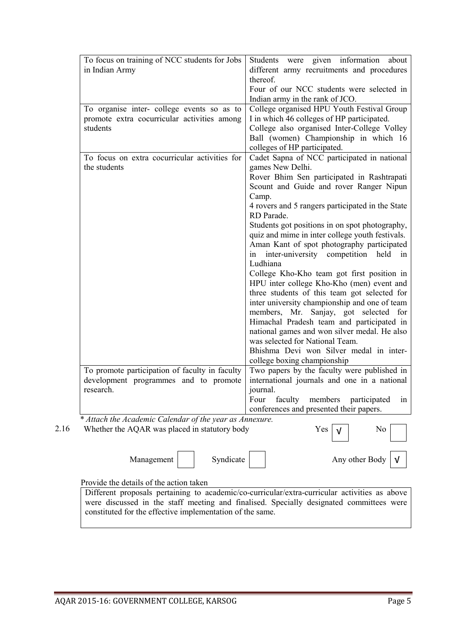| To focus on training of NCC students for Jobs<br>in Indian Army                                          | Students<br>given information<br>were<br>about<br>different army recruitments and procedures<br>thereof.<br>Four of our NCC students were selected in<br>Indian army in the rank of JCO.                                                                                                                                                                                                                                                                                                                                                                                                                                                                                                                                                                                                                                                                                                        |
|----------------------------------------------------------------------------------------------------------|-------------------------------------------------------------------------------------------------------------------------------------------------------------------------------------------------------------------------------------------------------------------------------------------------------------------------------------------------------------------------------------------------------------------------------------------------------------------------------------------------------------------------------------------------------------------------------------------------------------------------------------------------------------------------------------------------------------------------------------------------------------------------------------------------------------------------------------------------------------------------------------------------|
| To organise inter- college events so as to<br>promote extra cocurricular activities among<br>students    | College organised HPU Youth Festival Group<br>I in which 46 colleges of HP participated.<br>College also organised Inter-College Volley<br>Ball (women) Championship in which 16<br>colleges of HP participated.                                                                                                                                                                                                                                                                                                                                                                                                                                                                                                                                                                                                                                                                                |
| To focus on extra cocurricular activities for<br>the students                                            | Cadet Sapna of NCC participated in national<br>games New Delhi.<br>Rover Bhim Sen participated in Rashtrapati<br>Scount and Guide and rover Ranger Nipun<br>Camp.<br>4 rovers and 5 rangers participated in the State<br>RD Parade.<br>Students got positions in on spot photography,<br>quiz and mime in inter college youth festivals.<br>Aman Kant of spot photography participated<br>inter-university competition held in<br>in<br>Ludhiana<br>College Kho-Kho team got first position in<br>HPU inter college Kho-Kho (men) event and<br>three students of this team got selected for<br>inter university championship and one of team<br>members, Mr. Sanjay, got selected for<br>Himachal Pradesh team and participated in<br>national games and won silver medal. He also<br>was selected for National Team.<br>Bhishma Devi won Silver medal in inter-<br>college boxing championship |
| To promote participation of faculty in faculty<br>development programmes and to promote<br>research.     | Two papers by the faculty were published in<br>international journals and one in a national<br>journal.<br>in<br>Four<br>faculty<br>members<br>participated<br>conferences and presented their papers.                                                                                                                                                                                                                                                                                                                                                                                                                                                                                                                                                                                                                                                                                          |
| * Attach the Academic Calendar of the year as Annexure.<br>Whether the AQAR was placed in statutory body | No<br>Yes                                                                                                                                                                                                                                                                                                                                                                                                                                                                                                                                                                                                                                                                                                                                                                                                                                                                                       |
| Syndicate<br>Management                                                                                  | Any other Body                                                                                                                                                                                                                                                                                                                                                                                                                                                                                                                                                                                                                                                                                                                                                                                                                                                                                  |
| Provide the details of the action taken                                                                  |                                                                                                                                                                                                                                                                                                                                                                                                                                                                                                                                                                                                                                                                                                                                                                                                                                                                                                 |
| Different proposals pertaining to academic/co-curricular/extra-curricular activities as above            | were discussed in the staff meeting and finalised. Specially designated committees were                                                                                                                                                                                                                                                                                                                                                                                                                                                                                                                                                                                                                                                                                                                                                                                                         |

constituted for the effective implementation of the same.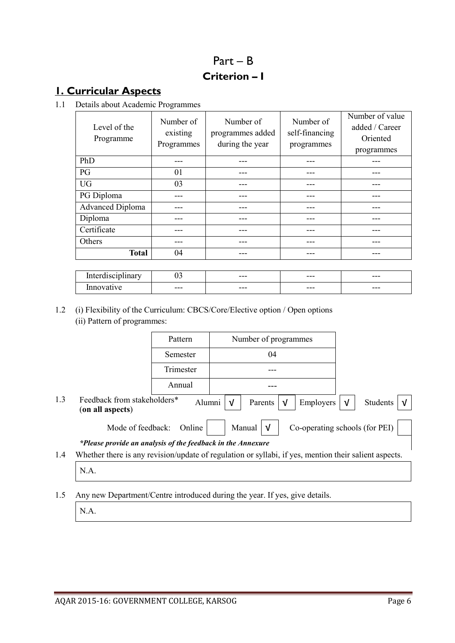# Part – B Criterion – I

# 1. Curricular Aspects

1.1 Details about Academic Programmes

| Level of the<br>Programme | Number of<br>existing<br>Programmes | Number of<br>programmes added<br>during the year | Number of<br>self-financing<br>programmes | Number of value<br>added / Career<br>Oriented<br>programmes |
|---------------------------|-------------------------------------|--------------------------------------------------|-------------------------------------------|-------------------------------------------------------------|
| PhD                       | --                                  |                                                  |                                           |                                                             |
| PG                        | 01                                  |                                                  |                                           |                                                             |
| <b>UG</b>                 | 03                                  |                                                  |                                           |                                                             |
| PG Diploma                |                                     |                                                  |                                           |                                                             |
| <b>Advanced Diploma</b>   |                                     |                                                  |                                           |                                                             |
| Diploma                   |                                     |                                                  |                                           |                                                             |
| Certificate               |                                     |                                                  |                                           |                                                             |
| Others                    |                                     |                                                  |                                           |                                                             |
| <b>Total</b>              | 04                                  |                                                  |                                           |                                                             |
|                           |                                     |                                                  |                                           |                                                             |
| Interdisciplinary         | 03                                  |                                                  |                                           |                                                             |

### 1.2 (i) Flexibility of the Curriculum: CBCS/Core/Elective option / Open options (ii) Pattern of programmes:

|     |                                                                                                       | Pattern   |    | Number of programmes  |                                |            |          |
|-----|-------------------------------------------------------------------------------------------------------|-----------|----|-----------------------|--------------------------------|------------|----------|
|     |                                                                                                       | Semester  | 04 |                       |                                |            |          |
|     |                                                                                                       | Trimester |    |                       |                                |            |          |
|     |                                                                                                       | Annual    |    |                       |                                |            |          |
| 1.3 | Feedback from stakeholders*<br>(on all aspects)                                                       | Alumni    | √  | Parents<br>$\sqrt{ }$ | Employers                      | $\sqrt{ }$ | Students |
|     | Mode of feedback:                                                                                     | Online    |    | Manual<br>V           | Co-operating schools (for PEI) |            |          |
|     | *Please provide an analysis of the feedback in the Annexure                                           |           |    |                       |                                |            |          |
| 1.4 | Whether there is any revision/update of regulation or syllabi, if yes, mention their salient aspects. |           |    |                       |                                |            |          |
|     | N.A.                                                                                                  |           |    |                       |                                |            |          |

 $\text{Innovative}$  ---  $\vert$  ---  $\vert$  ---  $\vert$  ---  $\vert$  ---  $\vert$  ---  $\vert$ 

1.5 Any new Department/Centre introduced during the year. If yes, give details.

N.A.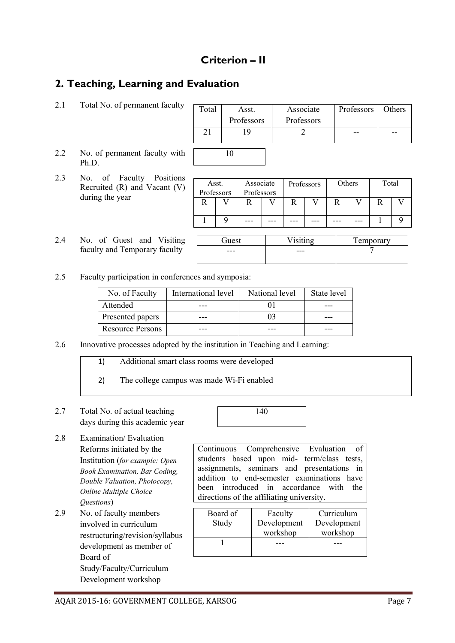## Criterion – II

## 2. Teaching, Learning and Evaluation

| $\overline{\phantom{a}}$ Total No. of permanent faculty $\overline{\phantom{a}}$ Total $\overline{\phantom{a}}$ Ass <sup>t</sup> |  |
|----------------------------------------------------------------------------------------------------------------------------------|--|

| ulty | Total | Asst.      | Associate  | Professors | Others |
|------|-------|------------|------------|------------|--------|
|      |       | Professors | Professors |            |        |
|      |       |            |            |            |        |
| with |       |            |            |            |        |

- 2.2 No. of permanent faculty with Ph.D.
- 2.3 No. of Faculty Positions Recruited (R) and Vacant (V) during the year
- 2.4 No. of Guest and Visiting faculty and Temporary fa

| Asst. |                          | Associate |  | Professors |  | Others |  | Total |  |
|-------|--------------------------|-----------|--|------------|--|--------|--|-------|--|
|       | Professors<br>Professors |           |  |            |  |        |  |       |  |
|       |                          |           |  |            |  |        |  |       |  |
|       |                          |           |  |            |  |        |  |       |  |
|       |                          |           |  |            |  |        |  |       |  |
|       |                          |           |  |            |  |        |  |       |  |

Guest | Visiting | Temporary

| facult | --- | --- |  |
|--------|-----|-----|--|
|        |     |     |  |
|        |     |     |  |

2.5 Faculty participation in conferences and symposia:

| No. of Faculty   | International level | National level | State level |
|------------------|---------------------|----------------|-------------|
| Attended         |                     |                |             |
| Presented papers |                     |                |             |
| Resource Persons |                     |                |             |

- 2.6 Innovative processes adopted by the institution in Teaching and Learning:
	- 1) Additional smart class rooms were developed
	- 2) The college campus was made Wi-Fi enabled
- 2.7 Total No. of actual teaching days during this academic year
- 140

2.8 Examination/ Evaluation Reforms initiated by the Institution (*for example: Open Book Examination, Bar Coding, Double Valuation, Photocopy, Online Multiple Choice Questions*)

2.9 No. of faculty members involved in curriculum restructuring/revision/syllabus development as member of Board of Study/Faculty/Curriculum Development workshop

Continuous Comprehensive Evaluation of students based upon mid- term/class tests, assignments, seminars and presentations in addition to end-semester examinations have been introduced in accordance with the directions of the affiliating university.

| Board of<br>Study | Faculty<br>Development<br>workshop | Curriculum<br>Development<br>workshop |  |
|-------------------|------------------------------------|---------------------------------------|--|
|                   |                                    |                                       |  |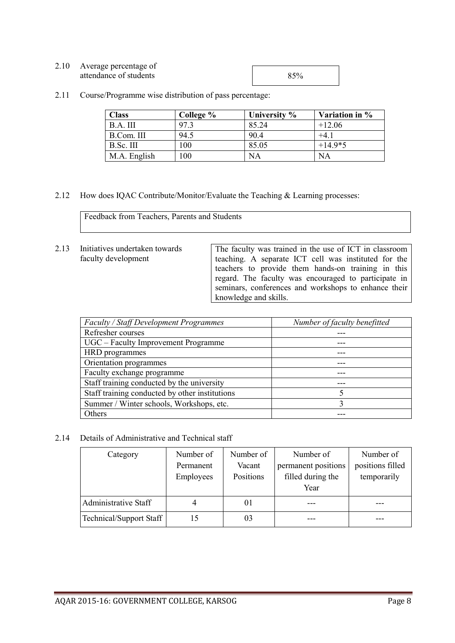| 2.10 | Average percentage of  |     |
|------|------------------------|-----|
|      |                        |     |
|      | attendance of students | 85% |
|      |                        |     |

2.11 Course/Programme wise distribution of pass percentage:

| <b>Class</b> | College % | University % | Variation in % |
|--------------|-----------|--------------|----------------|
| B.A. III     | 97.3      | 85.24        | $+12.06$       |
| B.Com. III   | 94.5      | 90.4         | $+4.1$         |
| B.Sc. III    | 100       | 85.05        | $+14.9*5$      |
| M.A. English | 100       | NА           | <b>NA</b>      |

2.12 How does IQAC Contribute/Monitor/Evaluate the Teaching & Learning processes:

Feedback from Teachers, Parents and Students

2.13 Initiatives undertaken towards faculty development

The faculty was trained in the use of ICT in classroom teaching. A separate ICT cell was instituted for the teachers to provide them hands-on training in this regard. The faculty was encouraged to participate in seminars, conferences and workshops to enhance their knowledge and skills.

| Faculty / Staff Development Programmes         | Number of faculty benefitted |
|------------------------------------------------|------------------------------|
| Refresher courses                              |                              |
| UGC – Faculty Improvement Programme            |                              |
| HRD programmes                                 |                              |
| Orientation programmes                         |                              |
| Faculty exchange programme                     |                              |
| Staff training conducted by the university     |                              |
| Staff training conducted by other institutions |                              |
| Summer / Winter schools, Workshops, etc.       |                              |
| Others                                         |                              |

2.14 Details of Administrative and Technical staff

| Category                | Number of<br>Permanent | Number of<br>Vacant | Number of<br>permanent positions | Number of<br>positions filled |
|-------------------------|------------------------|---------------------|----------------------------------|-------------------------------|
|                         | Employees              | Positions           | filled during the<br>Year        | temporarily                   |
| Administrative Staff    |                        | 01                  |                                  |                               |
| Technical/Support Staff | 15                     | 03                  |                                  |                               |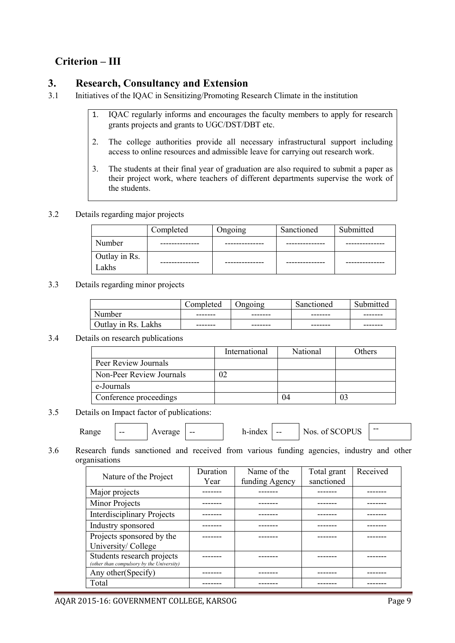## Criterion – III

### 3. Research, Consultancy and Extension

- 3.1 Initiatives of the IQAC in Sensitizing/Promoting Research Climate in the institution
	- 1. IQAC regularly informs and encourages the faculty members to apply for research grants projects and grants to UGC/DST/DBT etc.
	- 2. The college authorities provide all necessary infrastructural support including access to online resources and admissible leave for carrying out research work.
	- 3. The students at their final year of graduation are also required to submit a paper as their project work, where teachers of different departments supervise the work of the students.

#### 3.2 Details regarding major projects

|                        | Completed   | Ongoing    | Sanctioned | Submitted |
|------------------------|-------------|------------|------------|-----------|
| Number                 | ---------   |            |            |           |
| Outlay in Rs.<br>Lakhs | ----------- | ---------- | ---------- |           |

#### 3.3 Details regarding minor projects

|                     | $\mathsf{Comm}$<br>leted | Jngoing | Sanctioned | Submitted |
|---------------------|--------------------------|---------|------------|-----------|
| Number              | -------                  | ------- | -------    | -------   |
| Outlay in Rs. Lakhs | -------                  | ------- | -------    | -------   |

#### 3.4 Details on research publications

|                          | International | National | <b>Others</b> |
|--------------------------|---------------|----------|---------------|
| Peer Review Journals     |               |          |               |
| Non-Peer Review Journals | 02            |          |               |
| e-Journals               |               |          |               |
| Conference proceedings   |               | 04       |               |

#### 3.5 Details on Impact factor of publications:

| Range | -- | Average | $- -$ | h-index | $- -$ | Nos. of SCOPUS |
|-------|----|---------|-------|---------|-------|----------------|
|-------|----|---------|-------|---------|-------|----------------|

3.6 Research funds sanctioned and received from various funding agencies, industry and other organisations

| Nature of the Project                     | Duration | Name of the    | Total grant | Received |
|-------------------------------------------|----------|----------------|-------------|----------|
|                                           | Year     | funding Agency | sanctioned  |          |
| Major projects                            |          |                |             |          |
| Minor Projects                            |          |                |             |          |
| <b>Interdisciplinary Projects</b>         |          |                |             |          |
| Industry sponsored                        |          |                |             |          |
| Projects sponsored by the                 |          |                |             |          |
| University/College                        |          |                |             |          |
| Students research projects                |          |                |             |          |
| (other than compulsory by the University) |          |                |             |          |
| Any other (Specify)                       |          |                |             |          |
| Total                                     |          |                |             |          |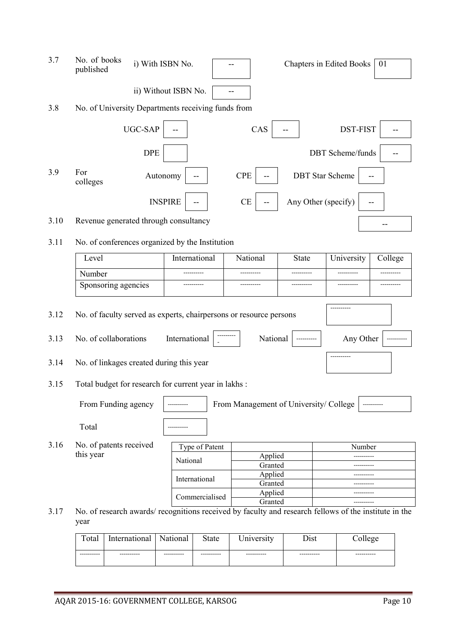| 3.7  | No. of books<br>published                                                                                    | i) With ISBN No.     |                |                                        |                     | <b>Chapters in Edited Books</b> | 01      |
|------|--------------------------------------------------------------------------------------------------------------|----------------------|----------------|----------------------------------------|---------------------|---------------------------------|---------|
|      |                                                                                                              | ii) Without ISBN No. |                |                                        |                     |                                 |         |
| 3.8  | No. of University Departments receiving funds from                                                           |                      |                |                                        |                     |                                 |         |
|      |                                                                                                              | UGC-SAP              |                | CAS                                    |                     | DST-FIST                        |         |
|      |                                                                                                              | <b>DPE</b>           |                |                                        |                     | <b>DBT</b> Scheme/funds         |         |
| 3.9  | For<br>colleges                                                                                              | Autonomy             |                | <b>CPE</b>                             |                     | <b>DBT</b> Star Scheme          |         |
|      |                                                                                                              | <b>INSPIRE</b>       |                | CE                                     | Any Other (specify) |                                 |         |
| 3.10 | Revenue generated through consultancy                                                                        |                      |                |                                        |                     |                                 |         |
| 3.11 | No. of conferences organized by the Institution                                                              |                      |                |                                        |                     |                                 |         |
|      | Level                                                                                                        |                      | International  | National                               | State               | University                      | College |
|      | Number                                                                                                       |                      |                |                                        |                     |                                 |         |
|      | Sponsoring agencies                                                                                          |                      |                |                                        |                     |                                 |         |
| 3.12 | No. of faculty served as experts, chairpersons or resource persons                                           |                      |                |                                        |                     |                                 |         |
| 3.13 | No. of collaborations                                                                                        |                      | International  | National                               |                     | Any Other                       |         |
| 3.14 | No. of linkages created during this year                                                                     |                      |                |                                        |                     | ----------                      |         |
| 3.15 | Total budget for research for current year in lakhs :                                                        |                      |                |                                        |                     |                                 |         |
|      | From Funding agency                                                                                          |                      |                | From Management of University/ College |                     |                                 |         |
|      | Total                                                                                                        |                      |                |                                        |                     |                                 |         |
| 3.16 | No. of patents received                                                                                      |                      | Type of Patent |                                        |                     | Number                          |         |
|      | this year                                                                                                    |                      | National       | Applied                                |                     |                                 |         |
|      |                                                                                                              |                      |                | Granted                                |                     |                                 |         |
|      |                                                                                                              |                      | International  | Applied<br>Granted                     |                     |                                 |         |
|      |                                                                                                              |                      | Commercialised | Applied                                |                     |                                 |         |
|      |                                                                                                              |                      |                | Granted                                |                     |                                 |         |
| 3.17 | No. of research awards/recognitions received by faculty and research fellows of the institute in the<br>year |                      |                |                                        |                     |                                 |         |

| Total      | International | National   | State      | Jniversity | ∽.<br>Dıst | <i>_</i> ollege |
|------------|---------------|------------|------------|------------|------------|-----------------|
| ---------- | ----------    | ---------- | ---------- | ---------- | ---------- | ----------      |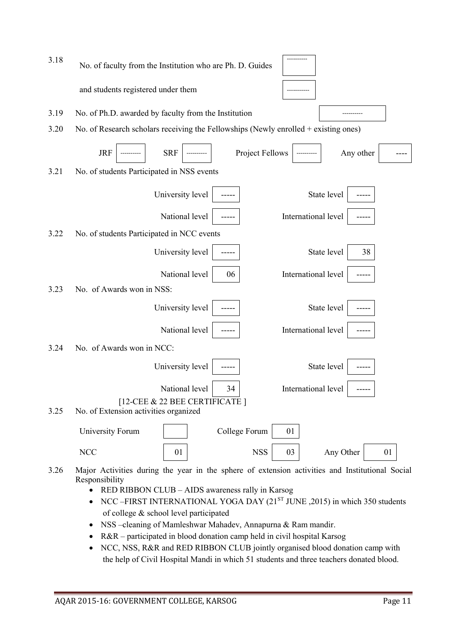| 3.18 | No. of faculty from the Institution who are Ph. D. Guides                                                         |
|------|-------------------------------------------------------------------------------------------------------------------|
|      | and students registered under them                                                                                |
| 3.19 | No. of Ph.D. awarded by faculty from the Institution                                                              |
| 3.20 | No. of Research scholars receiving the Fellowships (Newly enrolled $+$ existing ones)                             |
|      | <b>JRF</b><br><b>SRF</b><br>Project Fellows<br>Any other                                                          |
| 3.21 | No. of students Participated in NSS events                                                                        |
|      | University level<br>State level                                                                                   |
|      | International level<br>National level                                                                             |
| 3.22 | No. of students Participated in NCC events                                                                        |
|      | University level<br>State level<br>38                                                                             |
|      | National level<br>International level<br>06                                                                       |
| 3.23 | No. of Awards won in NSS:                                                                                         |
|      | University level<br>State level                                                                                   |
|      | National level<br>International level                                                                             |
| 3.24 | No. of Awards won in NCC:                                                                                         |
|      | State level<br>University level                                                                                   |
|      | National level<br>International level<br>34                                                                       |
| 3.25 | [12-CEE & 22 BEE CERTIFICATE]<br>No. of Extension activities organized                                            |
|      | College Forum<br>University Forum<br>01                                                                           |
|      | <b>NCC</b><br>01<br><b>NSS</b><br>03<br>Any Other<br>01                                                           |
| 3.26 | Major Activities during the year in the sphere of extension activities and Institutional Social<br>Responsibility |

- RED RIBBON CLUB AIDS awareness rally in Karsog
- NCC –FIRST INTERNATIONAL YOGA DAY  $(21^{ST}$  JUNE ,2015) in which 350 students of college & school level participated
- NSS –cleaning of Mamleshwar Mahadev, Annapurna & Ram mandir.
- R&R participated in blood donation camp held in civil hospital Karsog
- NCC, NSS, R&R and RED RIBBON CLUB jointly organised blood donation camp with the help of Civil Hospital Mandi in which 51 students and three teachers donated blood.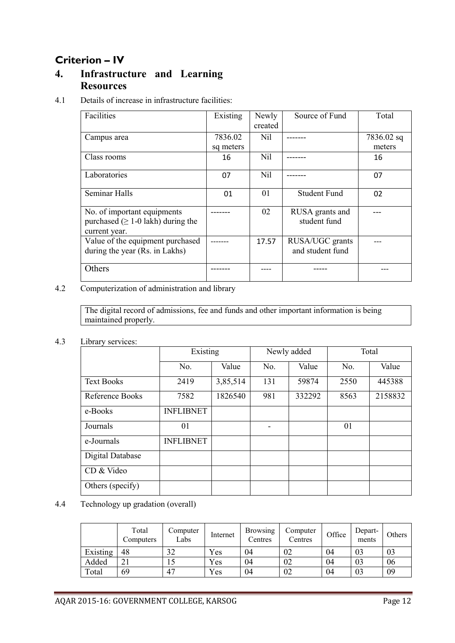## Criterion – IV

### 4. Infrastructure and Learning **Resources**

#### 4.1 Details of increase in infrastructure facilities:

| Existing  | Newly   | Source of Fund  | Total                                               |
|-----------|---------|-----------------|-----------------------------------------------------|
|           | created |                 |                                                     |
| 7836.02   | Nil     |                 | 7836.02 sq                                          |
| sq meters |         |                 | meters                                              |
| 16        | Nil     |                 | 16                                                  |
|           |         |                 |                                                     |
|           |         |                 | 07                                                  |
| 01        | 01      | Student Fund    | 02                                                  |
|           | 02      | RUSA grants and |                                                     |
|           |         |                 |                                                     |
|           |         |                 |                                                     |
|           |         |                 |                                                     |
|           |         |                 |                                                     |
|           |         |                 |                                                     |
|           |         |                 |                                                     |
|           | 07      | Nil<br>17.57    | student fund<br>RUSA/UGC grants<br>and student fund |

4.2 Computerization of administration and library

The digital record of admissions, fee and funds and other important information is being maintained properly.

#### 4.3 Library services:

|                   | Existing         |          | Newly added |        | Total |         |
|-------------------|------------------|----------|-------------|--------|-------|---------|
|                   | No.              | Value    | No.         | Value  | No.   | Value   |
| <b>Text Books</b> | 2419             | 3,85,514 | 131         | 59874  | 2550  | 445388  |
| Reference Books   | 7582             | 1826540  | 981         | 332292 | 8563  | 2158832 |
| e-Books           | <b>INFLIBNET</b> |          |             |        |       |         |
| Journals          | 01               |          | -           |        | 01    |         |
| e-Journals        | <b>INFLIBNET</b> |          |             |        |       |         |
| Digital Database  |                  |          |             |        |       |         |
| CD & Video        |                  |          |             |        |       |         |
| Others (specify)  |                  |          |             |        |       |         |

4.4 Technology up gradation (overall)

|          | Total<br>Computers | Computer<br>Labs | Internet | <b>Browsing</b><br>Centres | Computer<br>Centres | Office | Depart-<br>ments | Others |
|----------|--------------------|------------------|----------|----------------------------|---------------------|--------|------------------|--------|
| Existing | 48                 | າາ               | Yes      | 04                         | 02                  | 04     | 03               | 03     |
| Added    |                    |                  | Yes      | 04                         | 02                  | 04     | 03               | 06     |
| Total    | 69                 | 47               | Yes      | 04                         | 02                  | 04     | 03               | 09     |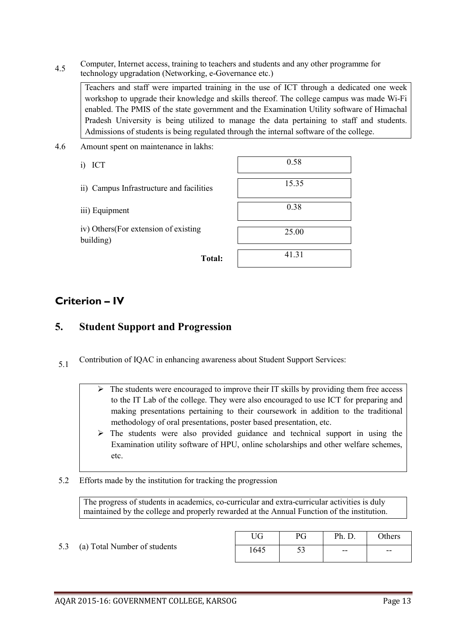4.5 Computer, Internet access, training to teachers and students and any other programme for technology upgradation (Networking, e-Governance etc.)

Teachers and staff were imparted training in the use of ICT through a dedicated one week workshop to upgrade their knowledge and skills thereof. The college campus was made Wi-Fi enabled. The PMIS of the state government and the Examination Utility software of Himachal Pradesh University is being utilized to manage the data pertaining to staff and students. Admissions of students is being regulated through the internal software of the college.

- 4.6 Amount spent on maintenance in lakhs:
	-
	- ii) Campus Infrastructure and facilities
	- iii) Equipment

| i)<br>ICT                                         | 0.58  |
|---------------------------------------------------|-------|
| ii) Campus Infrastructure and facilities          | 15.35 |
| iii) Equipment                                    | 0.38  |
| iv) Others(For extension of existing<br>building) | 25.00 |
| Total:                                            | 41.31 |

### Criterion – IV

### 5. Student Support and Progression

- 5.1 Contribution of IQAC in enhancing awareness about Student Support Services:
	- $\triangleright$  The students were encouraged to improve their IT skills by providing them free access to the IT Lab of the college. They were also encouraged to use ICT for preparing and making presentations pertaining to their coursework in addition to the traditional methodology of oral presentations, poster based presentation, etc.
	- $\triangleright$  The students were also provided guidance and technical support in using the Examination utility software of HPU, online scholarships and other welfare schemes, etc.
- 5.2 Efforts made by the institution for tracking the progression

The progress of students in academics, co-curricular and extra-curricular activities is duly maintained by the college and properly rewarded at the Annual Function of the institution.

5.3 (a) Total Number of students

| TG |            | Ph.   | Others |
|----|------------|-------|--------|
|    | - -<br>ر ر | $- -$ | --     |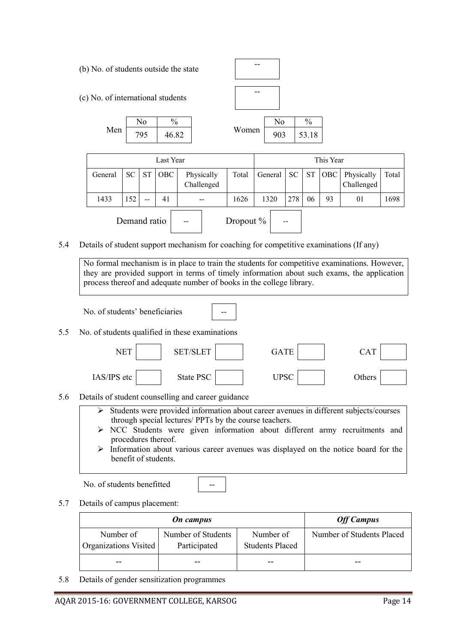

5.7 Details of campus placement:

|                                    | <b>Off Campus</b>                  |                              |                           |
|------------------------------------|------------------------------------|------------------------------|---------------------------|
| Number of<br>Organizations Visited | Number of Students<br>Participated | Number of<br>Students Placed | Number of Students Placed |
|                                    |                                    |                              |                           |

5.8 Details of gender sensitization programmes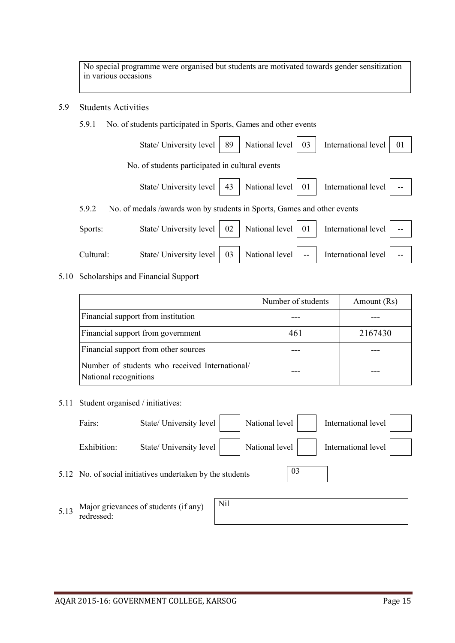No special programme were organised but students are motivated towards gender sensitization in various occasions

#### 5.9 Students Activities

#### 5.9.1 No. of students participated in Sports, Games and other events

|           | State/ University level                                                 | 89 | National level    | 03    | International level | 01 |
|-----------|-------------------------------------------------------------------------|----|-------------------|-------|---------------------|----|
|           | No. of students participated in cultural events                         |    |                   |       |                     |    |
|           | State/ University level                                                 | 43 | National level 01 |       | International level |    |
| 5.9.2     | No. of medals /awards won by students in Sports, Games and other events |    |                   |       |                     |    |
| Sports:   | State/ University level                                                 | 02 | National level    | 01    | International level |    |
| Cultural: | State/ University level                                                 | 03 | National level    | $- -$ | International level |    |

#### 5.10 Scholarships and Financial Support

|                                                                        | Number of students | Amount (Rs) |
|------------------------------------------------------------------------|--------------------|-------------|
| Financial support from institution                                     |                    |             |
| Financial support from government                                      | 461                | 2167430     |
| Financial support from other sources                                   |                    |             |
| Number of students who received International<br>National recognitions |                    |             |

#### 5.11 Student organised / initiatives:

| Fairs:      | State/ University level                                   | National level |    | International level |  |
|-------------|-----------------------------------------------------------|----------------|----|---------------------|--|
| Exhibition: | State/ University level                                   | National level |    | International level |  |
|             | 5.12 No. of social initiatives undertaken by the students |                | 03 |                     |  |

5.13 Major grievances of students (if any) redressed:

| $-$<br> |  |  |  |
|---------|--|--|--|
|         |  |  |  |
|         |  |  |  |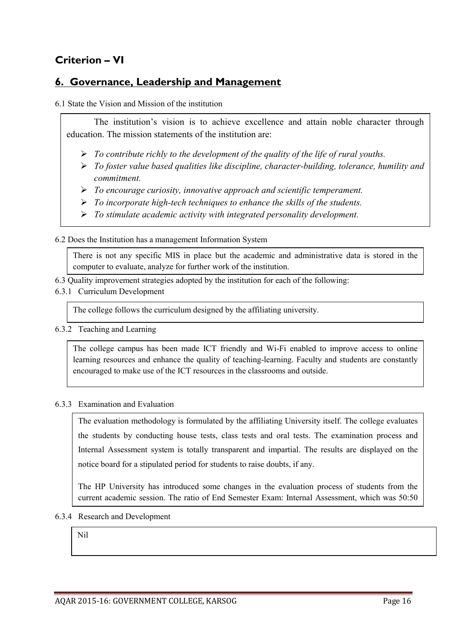## Criterion – VI

### 6. Governance, Leadership and Management

6.1 State the Vision and Mission of the institution

The institution's vision is to achieve excellence and attain noble character through education. The mission statements of the institution are:

- *To contribute richly to the development of the quality of the life of rural youths.*
- *To foster value based qualities like discipline, character-building, tolerance, humility and commitment.*
- *To encourage curiosity, innovative approach and scientific temperament.*
- *To incorporate high-tech techniques to enhance the skills of the students.*
- *To stimulate academic activity with integrated personality development.*

6.2 Does the Institution has a management Information System

There is not any specific MIS in place but the academic and administrative data is stored in the computer to evaluate, analyze for further work of the institution.

- 6.3 Quality improvement strategies adopted by the institution for each of the following:
- 6.3.1 Curriculum Development

The college follows the curriculum designed by the affiliating university.

6.3.2 Teaching and Learning

The college campus has been made ICT friendly and Wi-Fi enabled to improve access to online learning resources and enhance the quality of teaching-learning. Faculty and students are constantly encouraged to make use of the ICT resources in the classrooms and outside.

#### 6.3.3 Examination and Evaluation

The evaluation methodology is formulated by the affiliating University itself. The college evaluates the students by conducting house tests, class tests and oral tests. The examination process and Internal Assessment system is totally transparent and impartial. The results are displayed on the notice board for a stipulated period for students to raise doubts, if any.

The HP University has introduced some changes in the evaluation process of students from the current academic session. The ratio of End Semester Exam: Internal Assessment, which was 50:50

#### 6.3.4 Research and Development

Nil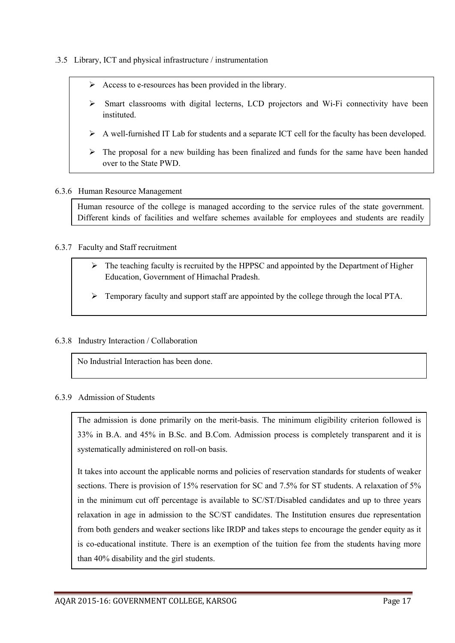- .3.5 Library, ICT and physical infrastructure / instrumentation
	- $\triangleright$  Access to e-resources has been provided in the library.
	- $\triangleright$  Smart classrooms with digital lecterns, LCD projectors and Wi-Fi connectivity have been instituted.
	- $\triangleright$  A well-furnished IT Lab for students and a separate ICT cell for the faculty has been developed.
	- $\triangleright$  The proposal for a new building has been finalized and funds for the same have been handed over to the State PWD.

#### 6.3.6 Human Resource Management

Human resource of the college is managed according to the service rules of the state government. Different kinds of facilities and welfare schemes available for employees and students are readily

#### 6.3.7 Faculty and Staff recruitment

- $\triangleright$  The teaching faculty is recruited by the HPPSC and appointed by the Department of Higher Education, Government of Himachal Pradesh.
- Temporary faculty and support staff are appointed by the college through the local PTA.

#### 6.3.8 Industry Interaction / Collaboration

No Industrial Interaction has been done.

#### 6.3.9 Admission of Students

The admission is done primarily on the merit-basis. The minimum eligibility criterion followed is 33% in B.A. and 45% in B.Sc. and B.Com. Admission process is completely transparent and it is systematically administered on roll-on basis.

It takes into account the applicable norms and policies of reservation standards for students of weaker sections. There is provision of 15% reservation for SC and 7.5% for ST students. A relaxation of 5% in the minimum cut off percentage is available to SC/ST/Disabled candidates and up to three years relaxation in age in admission to the SC/ST candidates. The Institution ensures due representation from both genders and weaker sections like IRDP and takes steps to encourage the gender equity as it is co-educational institute. There is an exemption of the tuition fee from the students having more than 40% disability and the girl students.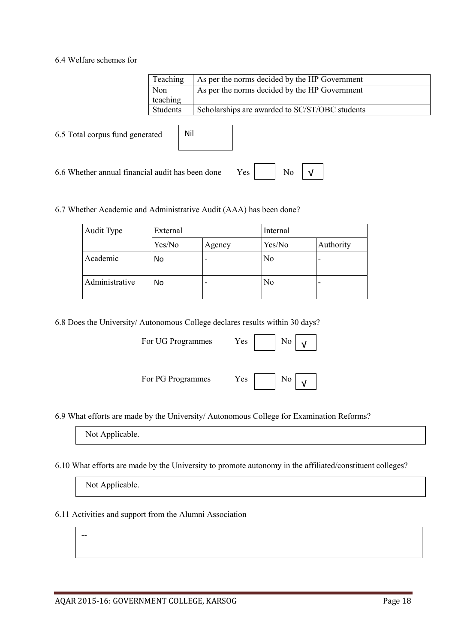#### 6.4 Welfare schemes for

|                                                                             | Teaching | As per the norms decided by the HP Government  |  |
|-----------------------------------------------------------------------------|----------|------------------------------------------------|--|
|                                                                             | Non      | As per the norms decided by the HP Government  |  |
|                                                                             | teaching |                                                |  |
|                                                                             | Students | Scholarships are awarded to SC/ST/OBC students |  |
| Nil<br>6.5 Total corpus fund generated                                      |          |                                                |  |
| No<br>6.6 Whether annual financial audit has been done<br>Yes<br>$\sqrt{ }$ |          |                                                |  |

#### 6.7 Whether Academic and Administrative Audit (AAA) has been done?

| Audit Type     | External |        | Internal       |                          |
|----------------|----------|--------|----------------|--------------------------|
|                | Yes/No   | Agency | Yes/No         | Authority                |
| Academic       | No       | -      | N <sub>o</sub> | $\overline{\phantom{0}}$ |
| Administrative | No       | -      | N <sub>0</sub> | -                        |

6.8 Does the University/ Autonomous College declares results within 30 days?

For UG Programmes Yes

|--|--|--|

For PG Programmes Yes No



6.9 What efforts are made by the University/ Autonomous College for Examination Reforms?

Not Applicable.

6.10 What efforts are made by the University to promote autonomy in the affiliated/constituent colleges?

| Not Applicable. |  |
|-----------------|--|
|-----------------|--|

--

6.11 Activities and support from the Alumni Association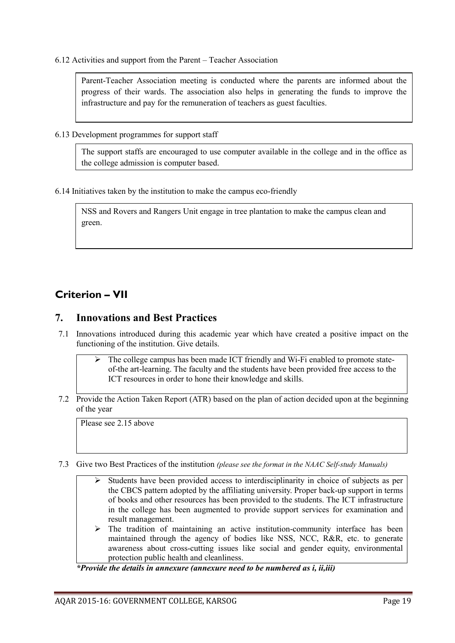6.12 Activities and support from the Parent – Teacher Association

Parent-Teacher Association meeting is conducted where the parents are informed about the progress of their wards. The association also helps in generating the funds to improve the infrastructure and pay for the remuneration of teachers as guest faculties.

6.13 Development programmes for support staff

The support staffs are encouraged to use computer available in the college and in the office as the college admission is computer based.

6.14 Initiatives taken by the institution to make the campus eco-friendly

NSS and Rovers and Rangers Unit engage in tree plantation to make the campus clean and green.

## Criterion – VII

### 7. Innovations and Best Practices

- 7.1 Innovations introduced during this academic year which have created a positive impact on the functioning of the institution. Give details.
	- The college campus has been made ICT friendly and Wi-Fi enabled to promote stateof-the art-learning. The faculty and the students have been provided free access to the ICT resources in order to hone their knowledge and skills.
- 7.2 Provide the Action Taken Report (ATR) based on the plan of action decided upon at the beginning of the year

Please see 2.15 above

- 7.3 Give two Best Practices of the institution *(please see the format in the NAAC Self-study Manuals)*
	- $\triangleright$  Students have been provided access to interdisciplinarity in choice of subjects as per the CBCS pattern adopted by the affiliating university. Proper back-up support in terms of books and other resources has been provided to the students. The ICT infrastructure in the college has been augmented to provide support services for examination and result management.
	- $\triangleright$  The tradition of maintaining an active institution-community interface has been maintained through the agency of bodies like NSS, NCC, R&R, etc. to generate awareness about cross-cutting issues like social and gender equity, environmental protection public health and cleanliness.

*\*Provide the details in annexure (annexure need to be numbered as i, ii,iii)*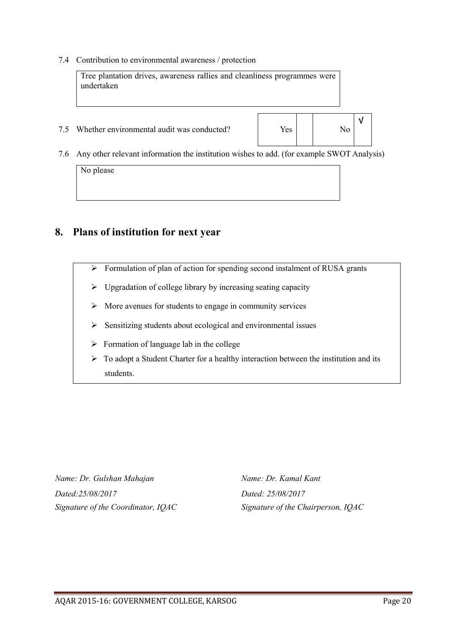7.4 Contribution to environmental awareness / protection



No please

### 8. Plans of institution for next year

- $\triangleright$  Formulation of plan of action for spending second instalment of RUSA grants
- $\triangleright$  Upgradation of college library by increasing seating capacity
- $\triangleright$  More avenues for students to engage in community services
- $\triangleright$  Sensitizing students about ecological and environmental issues
- $\triangleright$  Formation of language lab in the college
- $\triangleright$  To adopt a Student Charter for a healthy interaction between the institution and its students.

*Name: Dr. Gulshan Mahajan Name: Dr. Kamal Kant Dated:25/08/2017 Dated: 25/08/2017 Signature of the Coordinator, IQAC Signature of the Chairperson, IQAC*